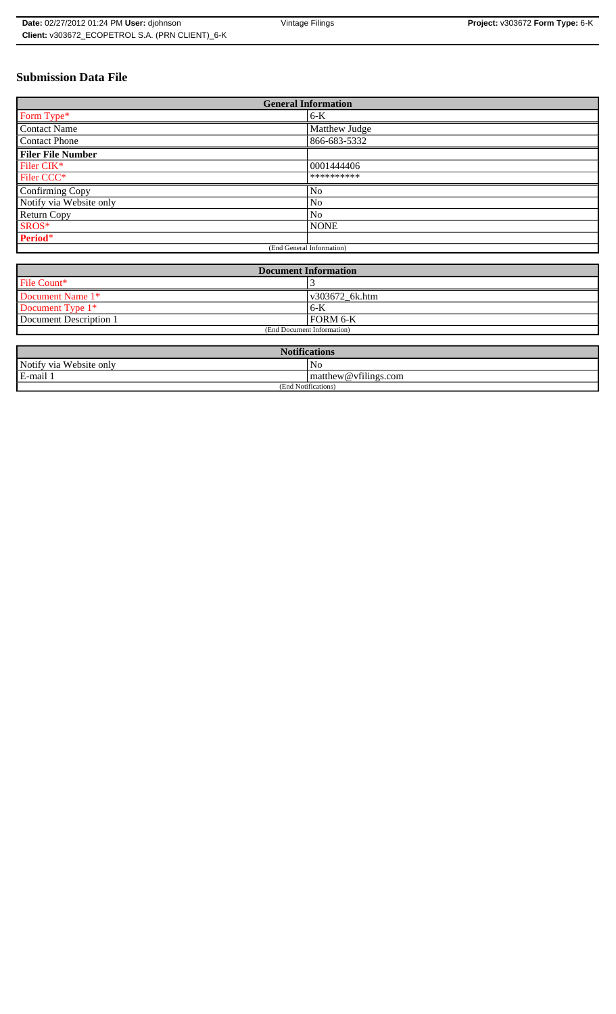# **Submission Data File**

| <b>General Information</b> |                |
|----------------------------|----------------|
| Form Type*                 | $6-K$          |
| <b>Contact Name</b>        | Matthew Judge  |
| <b>Contact Phone</b>       | 866-683-5332   |
| <b>Filer File Number</b>   |                |
| Filer CIK*                 | 0001444406     |
| Filer CCC*                 | **********     |
| <b>Confirming Copy</b>     | No             |
| Notify via Website only    | N <sub>0</sub> |
| Return Copy                | No             |
| SROS*                      | <b>NONE</b>    |
| Period*                    |                |
| (End General Information)  |                |

| <b>Document Information</b> |                |
|-----------------------------|----------------|
| File Count*                 |                |
| Document Name 1*            | v303672 6k.htm |
| Document Type $1*$          | $6 - K$        |
| Document Description 1      | FORM 6-K       |
| (End Document Information)  |                |

| <b>Notifications</b>       |                                       |
|----------------------------|---------------------------------------|
| Notify via<br>Website only | No                                    |
| E-mail                     | $\sim$ $\sim$<br>matthew@vfilings.com |
| 1 Notifications)<br>(End   |                                       |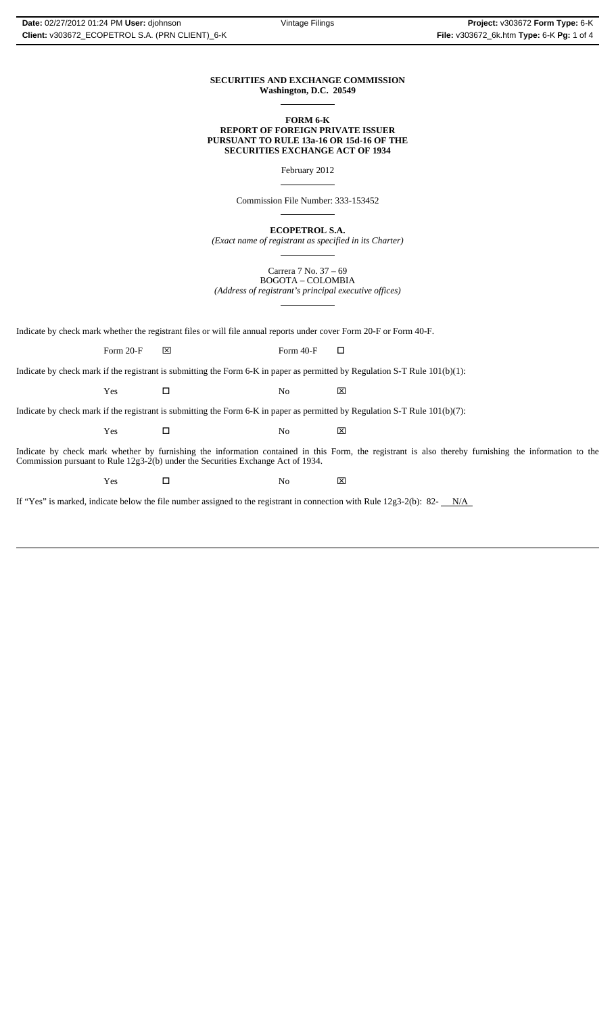#### **SECURITIES AND EXCHANGE COMMISSION Washington, D.C. 20549**  $\overline{a}$

#### **FORM 6-K REPORT OF FOREIGN PRIVATE ISSUER PURSUANT TO RULE 13a-16 OR 15d-16 OF THE SECURITIES EXCHANGE ACT OF 1934**

February 2012

 $\overline{a}$ 

 $\overline{a}$ 

 $\overline{a}$ 

Commission File Number: 333-153452

**ECOPETROL S.A.**

*(Exact name of registrant as specified in its Charter)*  $\overline{a}$ 

Carrera 7 No. 37 – 69 BOGOTA – COLOMBIA *(Address of registrant's principal executive offices)*

Indicate by check mark whether the registrant files or will file annual reports under cover Form 20-F or Form 40-F.

Form 20-F  $\boxtimes$  Form 40-F  $\Box$ 

Indicate by check mark if the registrant is submitting the Form 6-K in paper as permitted by Regulation S-T Rule 101(b)(1):

Yes □ No ⊠

Indicate by check mark if the registrant is submitting the Form 6-K in paper as permitted by Regulation S-T Rule 101(b)(7):

Yes □ No ⊠

Indicate by check mark whether by furnishing the information contained in this Form, the registrant is also thereby furnishing the information to the Commission pursuant to Rule 12g3-2(b) under the Securities Exchange Act of 1934.

Yes □ No ⊠

If "Yes" is marked, indicate below the file number assigned to the registrant in connection with Rule  $12g3-2(b)$ : 82- $N/A$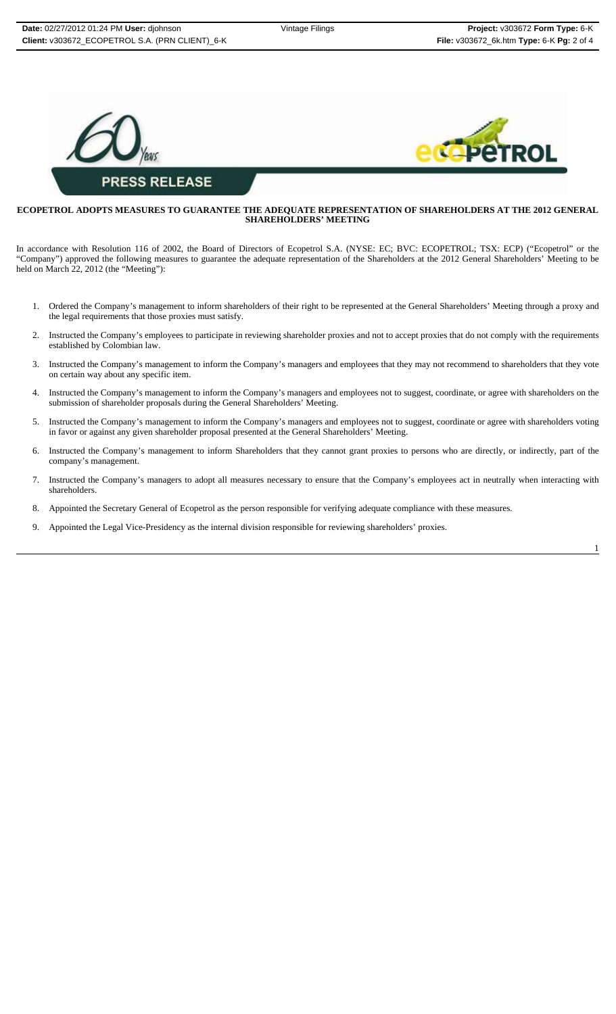

## **ECOPETROL ADOPTS MEASURES TO GUARANTEE THE ADEQUATE REPRESENTATION OF SHAREHOLDERS AT THE 2012 GENERAL SHAREHOLDERS' MEETING**

In accordance with Resolution 116 of 2002, the Board of Directors of Ecopetrol S.A. (NYSE: EC; BVC: ECOPETROL; TSX: ECP) ("Ecopetrol" or the "Company") approved the following measures to guarantee the adequate representation of the Shareholders at the 2012 General Shareholders' Meeting to be held on March 22, 2012 (the "Meeting"):

- 1. Ordered the Company's management to inform shareholders of their right to be represented at the General Shareholders' Meeting through a proxy and the legal requirements that those proxies must satisfy.
- 2. Instructed the Company's employees to participate in reviewing shareholder proxies and not to accept proxies that do not comply with the requirements established by Colombian law.
- 3. Instructed the Company's management to inform the Company's managers and employees that they may not recommend to shareholders that they vote on certain way about any specific item.
- 4. Instructed the Company's management to inform the Company's managers and employees not to suggest, coordinate, or agree with shareholders on the submission of shareholder proposals during the General Shareholders' Meeting.
- 5. Instructed the Company's management to inform the Company's managers and employees not to suggest, coordinate or agree with shareholders voting in favor or against any given shareholder proposal presented at the General Shareholders' Meeting.
- 6. Instructed the Company's management to inform Shareholders that they cannot grant proxies to persons who are directly, or indirectly, part of the company's management.
- 7. Instructed the Company's managers to adopt all measures necessary to ensure that the Company's employees act in neutrally when interacting with shareholders.
- 8. Appointed the Secretary General of Ecopetrol as the person responsible for verifying adequate compliance with these measures.
- 9. Appointed the Legal Vice-Presidency as the internal division responsible for reviewing shareholders' proxies.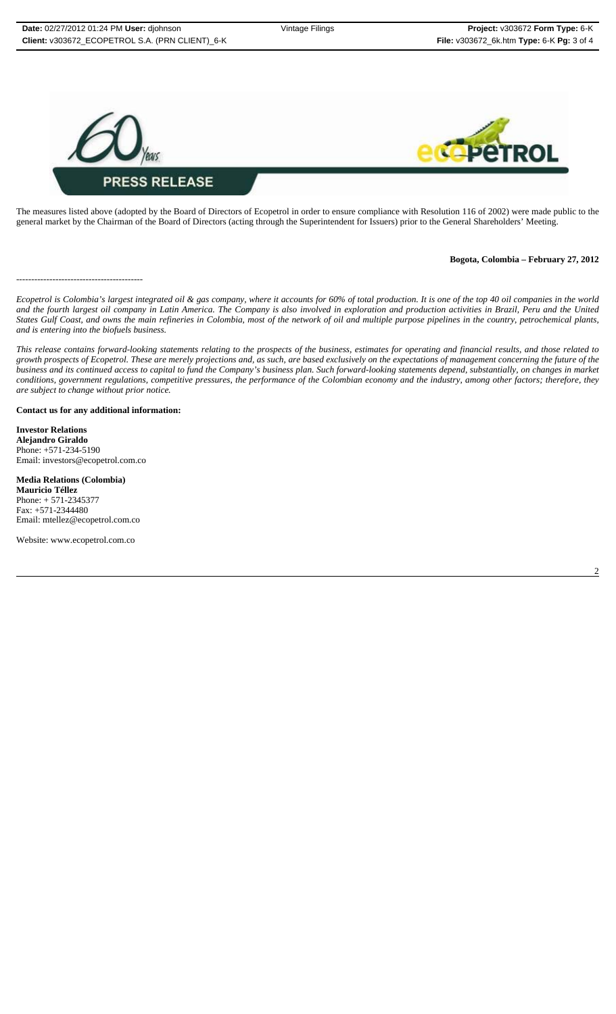

The measures listed above (adopted by the Board of Directors of Ecopetrol in order to ensure compliance with Resolution 116 of 2002) were made public to the general market by the Chairman of the Board of Directors (acting through the Superintendent for Issuers) prior to the General Shareholders' Meeting.

## **Bogota, Colombia – February 27, 2012**

------------------------------------------

*Ecopetrol is Colombia's largest integrated oil & gas company, where it accounts for 60% of total production. It is one of the top 40 oil companies in the world and the fourth largest oil company in Latin America. The Company is also involved in exploration and production activities in Brazil, Peru and the United States Gulf Coast, and owns the main refineries in Colombia, most of the network of oil and multiple purpose pipelines in the country, petrochemical plants, and is entering into the biofuels business.*

*This release contains forward-looking statements relating to the prospects of the business, estimates for operating and financial results, and those related to growth prospects of Ecopetrol. These are merely projections and, as such, are based exclusively on the expectations of management concerning the future of the business and its continued access to capital to fund the Company's business plan. Such forward-looking statements depend, substantially, on changes in market conditions, government regulations, competitive pressures, the performance of the Colombian economy and the industry, among other factors; therefore, they are subject to change without prior notice.*

### **Contact us for any additional information:**

**Investor Relations Alejandro Giraldo** Phone: +571-234-5190 Email: investors@ecopetrol.com.co

#### **Media Relations (Colombia)**

**Mauricio Téllez** Phone: + 571-2345377 Fax: +571-2344480 Email: mtellez@ecopetrol.com.co

Website: www.ecopetrol.com.co